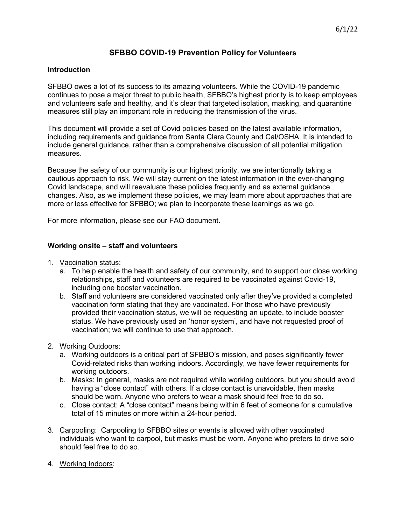## **SFBBO COVID-19 Prevention Policy for Volunteers**

## **Introduction**

SFBBO owes a lot of its success to its amazing volunteers. While the COVID-19 pandemic continues to pose a major threat to public health, SFBBO's highest priority is to keep employees and volunteers safe and healthy, and it's clear that targeted isolation, masking, and quarantine measures still play an important role in reducing the transmission of the virus.

This document will provide a set of Covid policies based on the latest available information, including requirements and guidance from Santa Clara County and Cal/OSHA. It is intended to include general guidance, rather than a comprehensive discussion of all potential mitigation measures.

Because the safety of our community is our highest priority, we are intentionally taking a cautious approach to risk. We will stay current on the latest information in the ever-changing Covid landscape, and will reevaluate these policies frequently and as external guidance changes. Also, as we implement these policies, we may learn more about approaches that are more or less effective for SFBBO; we plan to incorporate these learnings as we go.

For more information, please see our FAQ document.

## **Working onsite – staff and volunteers**

- 1. Vaccination status:
	- a. To help enable the health and safety of our community, and to support our close working relationships, staff and volunteers are required to be vaccinated against Covid-19, including one booster vaccination.
	- b. Staff and volunteers are considered vaccinated only after they've provided a completed vaccination form stating that they are vaccinated. For those who have previously provided their vaccination status, we will be requesting an update, to include booster status. We have previously used an 'honor system', and have not requested proof of vaccination; we will continue to use that approach.
- 2. Working Outdoors:
	- a. Working outdoors is a critical part of SFBBO's mission, and poses significantly fewer Covid-related risks than working indoors. Accordingly, we have fewer requirements for working outdoors.
	- b. Masks: In general, masks are not required while working outdoors, but you should avoid having a "close contact" with others. If a close contact is unavoidable, then masks should be worn. Anyone who prefers to wear a mask should feel free to do so.
	- c. Close contact: A "close contact" means being within 6 feet of someone for a cumulative total of 15 minutes or more within a 24-hour period.
- 3. Carpooling: Carpooling to SFBBO sites or events is allowed with other vaccinated individuals who want to carpool, but masks must be worn. Anyone who prefers to drive solo should feel free to do so.
- 4. Working Indoors: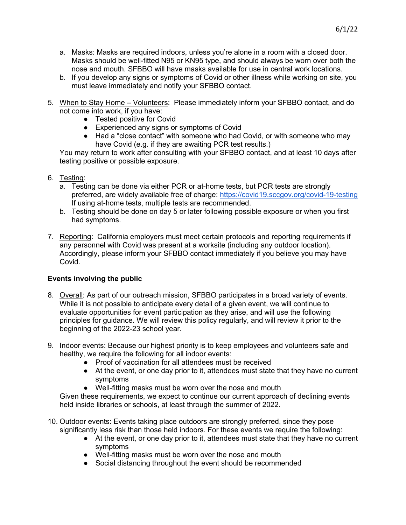- a. Masks: Masks are required indoors, unless you're alone in a room with a closed door. Masks should be well-fitted N95 or KN95 type, and should always be worn over both the nose and mouth. SFBBO will have masks available for use in central work locations.
- b. If you develop any signs or symptoms of Covid or other illness while working on site, you must leave immediately and notify your SFBBO contact.
- 5. When to Stay Home Volunteers: Please immediately inform your SFBBO contact, and do not come into work, if you have:
	- Tested positive for Covid
	- Experienced any signs or symptoms of Covid
	- Had a "close contact" with someone who had Covid, or with someone who may have Covid (e.g. if they are awaiting PCR test results.)

You may return to work after consulting with your SFBBO contact, and at least 10 days after testing positive or possible exposure.

- 6. Testing:
	- a. Testing can be done via either PCR or at-home tests, but PCR tests are strongly preferred, are widely available free of charge: https://covid19.sccgov.org/covid-19-testing If using at-home tests, multiple tests are recommended.
	- b. Testing should be done on day 5 or later following possible exposure or when you first had symptoms.
- 7. Reporting: California employers must meet certain protocols and reporting requirements if any personnel with Covid was present at a worksite (including any outdoor location). Accordingly, please inform your SFBBO contact immediately if you believe you may have Covid.

## **Events involving the public**

- 8. Overall: As part of our outreach mission, SFBBO participates in a broad variety of events. While it is not possible to anticipate every detail of a given event, we will continue to evaluate opportunities for event participation as they arise, and will use the following principles for guidance. We will review this policy regularly, and will review it prior to the beginning of the 2022-23 school year.
- 9. Indoor events: Because our highest priority is to keep employees and volunteers safe and healthy, we require the following for all indoor events:
	- Proof of vaccination for all attendees must be received
	- At the event, or one day prior to it, attendees must state that they have no current symptoms
	- Well-fitting masks must be worn over the nose and mouth

Given these requirements, we expect to continue our current approach of declining events held inside libraries or schools, at least through the summer of 2022.

- 10. Outdoor events: Events taking place outdoors are strongly preferred, since they pose significantly less risk than those held indoors. For these events we require the following:
	- At the event, or one day prior to it, attendees must state that they have no current symptoms
	- Well-fitting masks must be worn over the nose and mouth
	- Social distancing throughout the event should be recommended